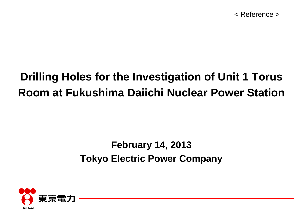#### **Drilling Holes for the Investigation of Unit 1 Torus Room at Fukushima Daiichi Nuclear Power Station**

#### **February 14, 2013 Tokyo Electric Power Company**

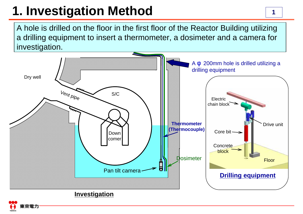# **1. Investigation Method**

A hole is drilled on the floor in the first floor of the Reactor Building utilizing a drilling equipment to insert a thermometer, a dosimeter and a camera for investigation.

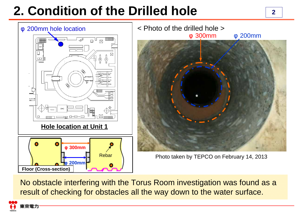# **2. Condition of the Drilled hole**



No obstacle interfering with the Torus Room investigation was found as a result of checking for obstacles all the way down to the water surface.

京電力